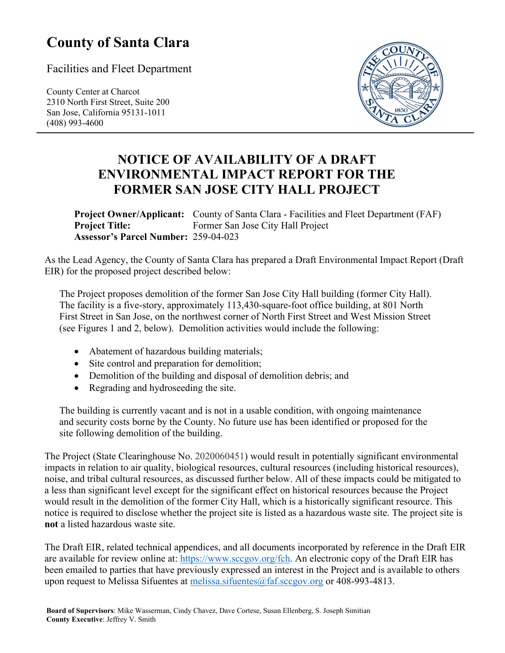## **County of Santa Clara**

Facilities and Fleet Department

County Center at Charcot 2310 North First Street, Suite 200 San Jose, California 95131-1011 (408) 993-4600



## **NOTICE OF AVAILABILITY OF A DRAFT ENVIRONMENTAL IMPACT REPORT FOR THE FORMER SAN JOSE CITY HALL PROJECT**

**Project Owner/Applicant:** County of Santa Clara - Facilities and Fleet Department (FAF) **Project Title:** Former San Jose City Hall Project **Assessor's Parcel Number:** 259-04-023

As the Lead Agency, the County of Santa Clara has prepared a Draft Environmental Impact Report (Draft EIR) for the proposed project described below:

The Project proposes demolition of the former San Jose City Hall building (former City Hall). The facility is a five-story, approximately 113,430-square-foot office building, at 801 North First Street in San Jose, on the northwest corner of North First Street and West Mission Street (see Figures 1 and 2, below). Demolition activities would include the following:

- Abatement of hazardous building materials;
- Site control and preparation for demolition;
- Demolition of the building and disposal of demolition debris; and
- Regrading and hydroseeding the site.

The building is currently vacant and is not in a usable condition, with ongoing maintenance and security costs borne by the County. No future use has been identified or proposed for the site following demolition of the building.

The Project (State Clearinghouse No. 2020060451) would result in potentially significant environmental impacts in relation to air quality, biological resources, cultural resources (including historical resources), noise, and tribal cultural resources, as discussed further below. All of these impacts could be mitigated to a less than significant level except for the significant effect on historical resources because the Project would result in the demolition of the former City Hall, which is a historically significant resource. This notice is required to disclose whether the project site is listed as a hazardous waste site. The project site is **not** a listed hazardous waste site.

The Draft EIR, related technical appendices, and all documents incorporated by reference in the Draft EIR are available for review online at: [https://www.sccgov.org/fch.](https://www.sccgov.org/fch) An electronic copy of the Draft EIR has been emailed to parties that have previously expressed an interest in the Project and is available to others upon request to Melissa Sifuentes at melissa.sifuentes $@$ faf.sccgov.org or 408-993-4813.